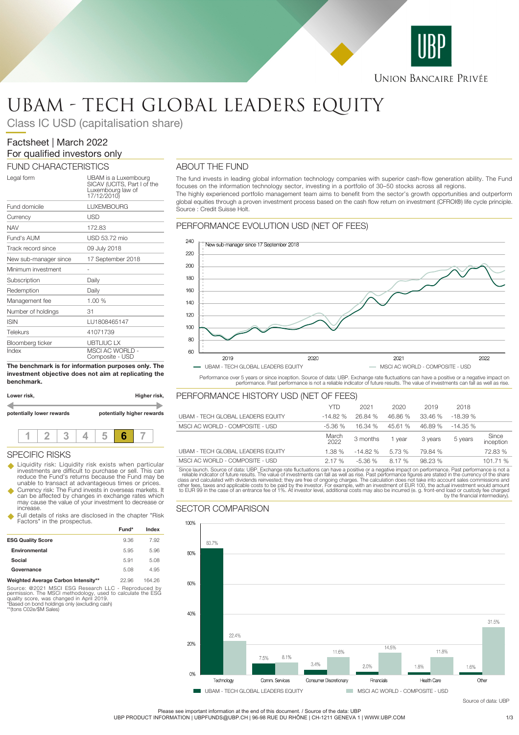

# UBAM - TECH GLOBAL LEADERS EQUITY

Class IC USD (capitalisation share)

# Factsheet | March 2022 For qualified investors only

## FUND CHARACTERISTICS

| Legal form            | UBAM is a Luxembourg<br>SICAV (UCITS, Part I of the<br>Luxembourg law of<br>17/12/2010) |
|-----------------------|-----------------------------------------------------------------------------------------|
| Fund domicile         | <b>LUXEMBOURG</b>                                                                       |
| Currency              | USD                                                                                     |
| <b>NAV</b>            | 172.83                                                                                  |
| Fund's AUM            | USD 53.72 mio                                                                           |
| Track record since    | 09 July 2018                                                                            |
| New sub-manager since | 17 September 2018                                                                       |
| Minimum investment    |                                                                                         |
| Subscription          | Daily                                                                                   |
| Redemption            | Daily                                                                                   |
| Management fee        | 1.00%                                                                                   |
| Number of holdings    | 31                                                                                      |
| <b>ISIN</b>           | LU1808465147                                                                            |
| Telekurs              | 41071739                                                                                |
| Bloomberg ticker      | <b>UBTLIUC LX</b>                                                                       |
| Index                 | <b>MSCI AC WORLD -</b><br>Composite - USD                                               |

**The benchmark is for information purposes only. The investment objective does not aim at replicating the benchmark.**

| Lower risk, |                           |  | Higher risk, |  |                            |  |  |
|-------------|---------------------------|--|--------------|--|----------------------------|--|--|
|             | potentially lower rewards |  |              |  | potentially higher rewards |  |  |
|             |                           |  |              |  |                            |  |  |

### SPECIFIC RISKS

- u Liquidity risk: Liquidity risk exists when particular investments are difficult to purchase or sell. This can reduce the Fund's returns because the Fund may be unable to transact at advantageous times or prices.
- Currency risk: The Fund invests in overseas markets. It can be affected by changes in exchange rates which may cause the value of your investment to decrease or increase.
- u Full details of risks are disclosed in the chapter "Risk Factors" in the prospectus.

|                                     | Fund* | Index  |  |
|-------------------------------------|-------|--------|--|
| <b>ESG Quality Score</b>            | 9.36  | 7.92   |  |
| Environmental                       | 5.95  | 5.96   |  |
| Social                              | 5.91  | 5.08   |  |
| Governance                          | 5.08  | 4.95   |  |
| Weighted Average Carbon Intensity** | 22.96 | 164 26 |  |

Source: @2021 MSCI ESG Research LLC - Reproduced by<br>permission. The MSCI methodology, used to calculate the ESG<br>quality score, was changed in April 2019.<br>"Based on bond holdings only (excluding cash)<br>""(tons C02e/\$M Sales)

## ABOUT THE FUND

The fund invests in leading global information technology companies with superior cash-flow generation ability. The Fund focuses on the information technology sector, investing in a portfolio of 30–50 stocks across all regions. The highly experienced portfolio management team aims to benefit from the sector's growth opportunities and outperform global equities through a proven investment process based on the cash flow return on investment (CFROI®) life cycle principle. Source : Credit Suisse Holt.

## PERFORMANCE EVOLUTION USD (NET OF FEES)



Performance over 5 years or since inception. Source of data: UBP. Exchange rate fluctuations can have a positive or a negative impact on<br>performance. Past performance is not a reliable indicator of future results. The valu

## PERFORMANCE HISTORY USD (NET OF FEES)

|                                                                                                                                                  | <b>YTD</b>    | 2021      | 2020    | 2019    | 2018      |                    |
|--------------------------------------------------------------------------------------------------------------------------------------------------|---------------|-----------|---------|---------|-----------|--------------------|
| UBAM - TECH GLOBAL LEADERS EQUITY                                                                                                                | $-14.82%$     | 26.84 %   | 46.86 % | 33.46 % | $-18.39%$ |                    |
| MSCI AC WORLD - COMPOSITE - USD                                                                                                                  | $-5.36%$      | 16.34 %   | 45.61 % | 46.89 % | $-14.35%$ |                    |
|                                                                                                                                                  | March<br>2022 | 3 months  | 1 vear  | 3 years | 5 years   | Since<br>inception |
| UBAM - TECH GLOBAL LEADERS EQUITY                                                                                                                | 1.38%         | $-14.82%$ | 5.73 %  | 79.84 % |           | 72.83 %            |
| MSCLAC WORLD - COMPOSITE - USD                                                                                                                   | 2.17%         | $-5.36%$  | 8.17 %  | 98.23%  |           | 101.71 %           |
| Since launch, Source of data: UBP, Exchange rate fluctuations can have a positive or a negative impact on performance. Past performance is not a |               |           |         |         |           |                    |

Since launch. Source of data: UBP. Exchange rate fluctuations can have a positive or a negative impact on performance. Past performance is not a relable indicator of future results. The value of investments can fall as wel by the financial intermediary).



Please see important information at the end of this document. / Source of the data: UBP

UBP PRODUCT INFORMATION | UBPFUNDS@UBP.CH | 96-98 RUE DU RHÔNE | CH-1211 GENEVA 1 | WWW.UBP.COM 1/3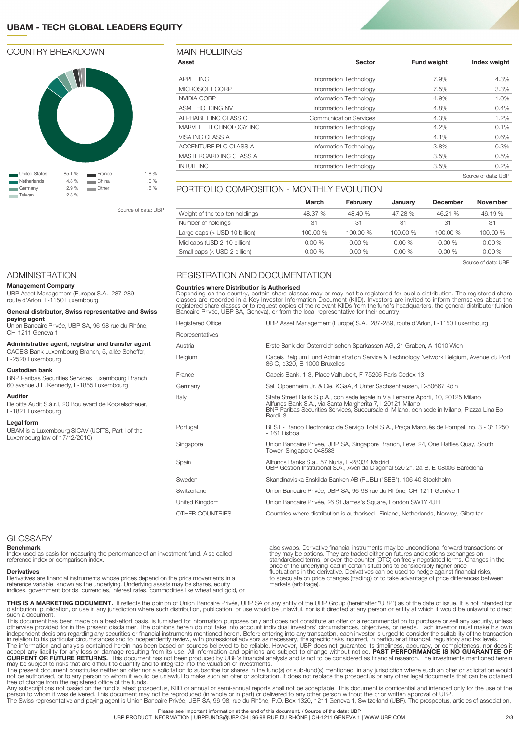## **UBAM - TECH GLOBAL LEADERS EQUITY**

## COUNTRY BREAKDOWN



Source of data: UBP

## MAIN HOLDINGS

| Asset                  | Sector                        | <b>Fund weight</b> | Index weight        |
|------------------------|-------------------------------|--------------------|---------------------|
| APPLE INC              | Information Technology        | 7.9%               | 4.3%                |
| MICROSOFT CORP         | Information Technology        | 7.5%               | 3.3%                |
| NVIDIA CORP            | Information Technology        | 4.9%               | 1.0%                |
| ASML HOLDING NV        | Information Technology        | 4.8%               | 0.4%                |
| ALPHABET INC CLASS C   | <b>Communication Services</b> | 4.3%               | 1.2%                |
| MARVELL TECHNOLOGY INC | Information Technology        | 4.2%               | 0.1%                |
| VISA INC CLASS A       | Information Technology        | 4.1%               | 0.6%                |
| ACCENTURE PLC CLASS A  | Information Technology        | 3.8%               | 0.3%                |
| MASTERCARD INC CLASS A | Information Technology        | 3.5%               | 0.5%                |
| <b>INTUIT INC</b>      | Information Technology        | 3.5%               | $0.2\%$             |
|                        |                               |                    | Source of data: UBP |

## PORTFOLIO COMPOSITION - MONTHLY EVOLUTION

|                                | March    | February | January  | December | <b>November</b>     |
|--------------------------------|----------|----------|----------|----------|---------------------|
| Weight of the top ten holdings | 48.37 %  | 48.40 %  | 47.28%   | 46.21 %  | 46.19 %             |
| Number of holdings             | -31      | 31       | -31      | 31       | 31                  |
| Large caps $($ USD 10 billion) | 100.00 % | 100.00 % | 100.00 % | 100.00 % | 100.00 %            |
| Mid caps (USD 2-10 billion)    | $0.00\%$ | 0.00%    | 0.00%    | 0.00%    | 0.00%               |
| Small caps (< USD 2 billion)   | $0.00\%$ | 0.00%    | 0.00%    | 0.00%    | 0.00%               |
|                                |          |          |          |          | Source of data: UBP |

ADMINISTRATION

#### **Management Company**

UBP Asset Management (Europe) S.A., 287-289, route d'Arlon, L-1150 Luxembourg

#### **General distributor, Swiss representative and Swiss paying agent**

Union Bancaire Privée, UBP SA, 96-98 rue du Rhône, CH-1211 Geneva 1

**Administrative agent, registrar and transfer agent** CACEIS Bank Luxembourg Branch, 5, allée Scheffer,

L-2520 Luxembourg

#### **Custodian bank**

BNP Paribas Securities Services Luxembourg Branch 60 avenue J.F. Kennedy, L-1855 Luxembourg

## **Auditor**

Deloitte Audit S.à.r.l, 20 Boulevard de Kockelscheuer, L-1821 Luxembourg

#### **Legal form**

UBAM is a Luxembourg SICAV (UCITS, Part I of the Luxembourg law of 17/12/2010)

## REGISTRATION AND DOCUMENTATION

#### **Countries where Distribution is Authorised**

Depending on the country, certain share classes may or may not be registered for public distribution. The registered share<br>classes are recorded in a Key Investor Information Document (KIID). Investors are invited to inform

| Registered Office | UBP Asset Management (Europe) S.A., 287-289, route d'Arlon, L-1150 Luxembourg                                                                    |
|-------------------|--------------------------------------------------------------------------------------------------------------------------------------------------|
| Representatives   |                                                                                                                                                  |
| Austria           | Erste Bank der Österreichischen Sparkassen AG, 21 Graben, A-1010 Wien                                                                            |
| Belgium           | Caceis Belgium Fund Administration Service & Technology Network Belgium, Avenue du Port<br>86 C. b320. B-1000 Bruxelles                          |
| France            | Caceis Bank, 1-3, Place Valhubert, F-75206 Paris Cedex 13                                                                                        |
| Germany           | Sal. Oppenheim Jr. & Cie. KGaA, 4 Unter Sachsenhausen, D-50667 Köln                                                                              |
| Italy             | State Street Bank S.p.A., con sede legale in Via Ferrante Aporti, 10, 20125 Milano<br>Allfunds Bank S.A., via Santa Margherita 7, I-20121 Milano |
|                   | BNP Paribas Securities Services, Succursale di Milano, con sede in Milano, Piazza Lina Bo<br>Bardi, 3                                            |
| Portugal          | BEST - Banco Electronico de Servico Total S.A., Praca Marquês de Pompal, no. 3 - 3° 1250<br>$-161$ Lisboa                                        |
| Singapore         | Union Bancaire Privee, UBP SA, Singapore Branch, Level 24, One Raffles Quay, South<br>Tower, Singapore 048583                                    |
| Spain             | Allfunds Banks S.a., 57 Nuria, E-28034 Madrid<br>UBP Gestion Institutional S.A., Avenida Diagonal 520 2°, 2a-B, E-08006 Barcelona                |
| Sweden            | Skandinaviska Enskilda Banken AB (PUBL) ("SEB"), 106 40 Stockholm                                                                                |
| Switzerland       | Union Bancaire Privée, UBP SA, 96-98 rue du Rhône, CH-1211 Genève 1                                                                              |
| United Kingdom    | Union Bancaire Privée, 26 St James's Square, London SW1Y 4JH                                                                                     |
| OTHER COUNTRIES   | Countries where distribution is authorised: Finland, Netherlands, Norway, Gibraltar                                                              |
|                   |                                                                                                                                                  |

## **GLOSSARY**

**Benchmark**

Index used as basis for measuring the performance of an investment fund. Also called reference index or comparison index.

#### **Derivatives**

Derivatives are financial instruments whose prices depend on the price movements in a reference variable, known as the underlying. Underlying assets may be shares, equity indices, government bonds, currencies, interest rates, commodities like wheat and gold, or

also swaps. Derivative financial instruments may be unconditional forward transactions or they may be options. They are traded either on futures and options exchanges on standardised terms, or over-the-counter (OTC) on freely negotiated terms. Changes in the<br>price of the underlying lead in certain situations to considerably higher price<br>fluctuations in the derivative. Derivatives can be us to speculate on price changes (trading) or to take advantage of price differences between markets (arbitrage).

**THIS IS A MARKETING DOCUMENT.** It reflects the opinion of Union Bancaire Privée, UBP SA or any entity of the UBP Group (hereinafter "UBP") as of the date of issue. It is not intended for<br>distribution, publication, or use

This document has been made on a best-effort basis, is furnished for information purposes only and does not constitute an offer or a recommendation to purchase or sell any security, unless<br>otherwise provided for in the pre

**CURRENT OR FUTURE RETURNS.** This document has not been produced by UBP's financial analysts and is not to be considered as financial research. The investments mentioned herein<br>may be subject to risks that are difficult to

free of charge from the registered office of the funds.<br>Any subscriptions not based on the fund's latest prospectus, KIID or annual or semi-annual reports shall not be acceptable. This document is confidential and intended

Please see important information at the end of this document. / Source of the data: UBP